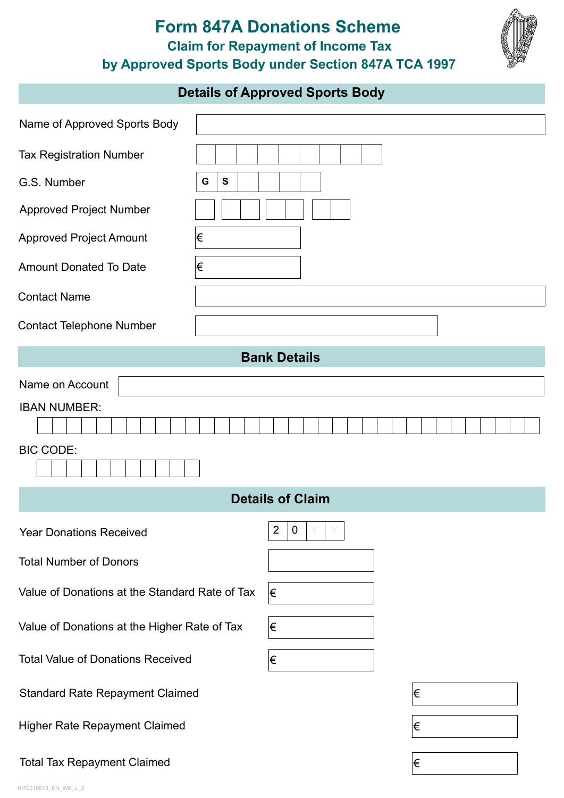## **Form 847A Donations Scheme by Approved Sports Body under Section 847A TCA 1997 Claim for Repayment of Income Tax**



## **Details of Approved Sports Body**

| Name of Approved Sports Body                   |                                    |  |  |
|------------------------------------------------|------------------------------------|--|--|
| <b>Tax Registration Number</b>                 |                                    |  |  |
| G.S. Number                                    | G<br>S                             |  |  |
| <b>Approved Project Number</b>                 |                                    |  |  |
| <b>Approved Project Amount</b>                 | €                                  |  |  |
| <b>Amount Donated To Date</b>                  | €                                  |  |  |
| <b>Contact Name</b>                            |                                    |  |  |
| <b>Contact Telephone Number</b>                |                                    |  |  |
| <b>Bank Details</b>                            |                                    |  |  |
| Name on Account                                |                                    |  |  |
| <b>IBAN NUMBER:</b>                            |                                    |  |  |
| <b>BIC CODE:</b>                               |                                    |  |  |
| <b>Details of Claim</b>                        |                                    |  |  |
| <b>Year Donations Received</b>                 | $\overline{2}$<br>$\boldsymbol{0}$ |  |  |
| <b>Total Number of Donors</b>                  |                                    |  |  |
| Value of Donations at the Standard Rate of Tax | ∣€                                 |  |  |
| Value of Donations at the Higher Rate of Tax   | €                                  |  |  |
| <b>Total Value of Donations Received</b>       | €                                  |  |  |
| <b>Standard Rate Repayment Claimed</b>         | Ι€                                 |  |  |
| Higher Rate Repayment Claimed                  | Ι€                                 |  |  |
| <b>Total Tax Repayment Claimed</b>             | €                                  |  |  |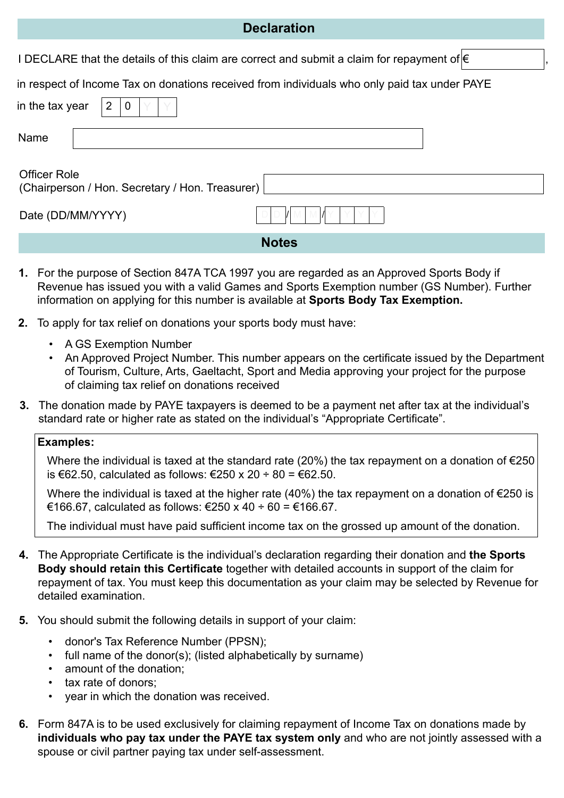## **Declaration**

I DECLARE that the details of this claim are correct and submit a claim for repayment of  $\in$ 

in respect of Income Tax on donations received from individuals who only paid tax under PAYE

| in the tax year<br>$\overline{2}$<br>$\mathbf 0$                       |                   |  |  |
|------------------------------------------------------------------------|-------------------|--|--|
| Name                                                                   |                   |  |  |
| <b>Officer Role</b><br>(Chairperson / Hon. Secretary / Hon. Treasurer) |                   |  |  |
|                                                                        | Date (DD/MM/YYYY) |  |  |
| <b>Notes</b>                                                           |                   |  |  |

- **1.** For the purpose of Section 847A TCA 1997 you are regarded as an Approved Sports Body if Revenue has issued you with a valid Games and Sports Exemption number (GS Number). Further information on applying for this number is available at **[Sports Body Tax Exemption.](https://www.revenue.ie/en/companies-and-charities/charities-and-sports-bodies/sports-bodies-tax-exemption/how-to-apply-for-a-sports-body-tax-exemption.aspx)**
- **2.** To apply for tax relief on donations your sports body must have:
	- A GS Exemption Number
	- An Approved Project Number. This number appears on the certificate issued by the Department of Tourism, Culture, Arts, Gaeltacht, Sport and Media approving your project for the purpose of claiming tax relief on donations received
- **3.** The donation made by PAYE taxpayers is deemed to be a payment net after tax at the individual's standard rate or higher rate as stated on the individual's "Appropriate Certificate".

## **Examples:**

Where the individual is taxed at the standard rate (20%) the tax repayment on a donation of  $\epsilon$ 250 is €62.50, calculated as follows: €250 x 20 ÷ 80 = €62.50.

 Where the individual is taxed at the higher rate (40%) the tax repayment on a donation of €250 is €166.67, calculated as follows: €250 x 40 ÷ 60 = €166.67.

The individual must have paid sufficient income tax on the grossed up amount of the donation.

- **4.** The Appropriate Certificate is the individual's declaration regarding their donation and **the Sports Body should retain this Certificate** together with detailed accounts in support of the claim for repayment of tax. You must keep this documentation as your claim may be selected by Revenue for detailed examination.
- **5.** You should submit the following details in support of your claim:
	- donor's Tax Reference Number (PPSN);
	- full name of the donor(s); (listed alphabetically by surname)
	- amount of the donation;
	- tax rate of donors;
	- year in which the donation was received.
- **6.** Form 847A is to be used exclusively for claiming repayment of Income Tax on donations made by **individuals who pay tax under the PAYE tax system only** and who are not jointly assessed with a spouse or civil partner paying tax under self-assessment.